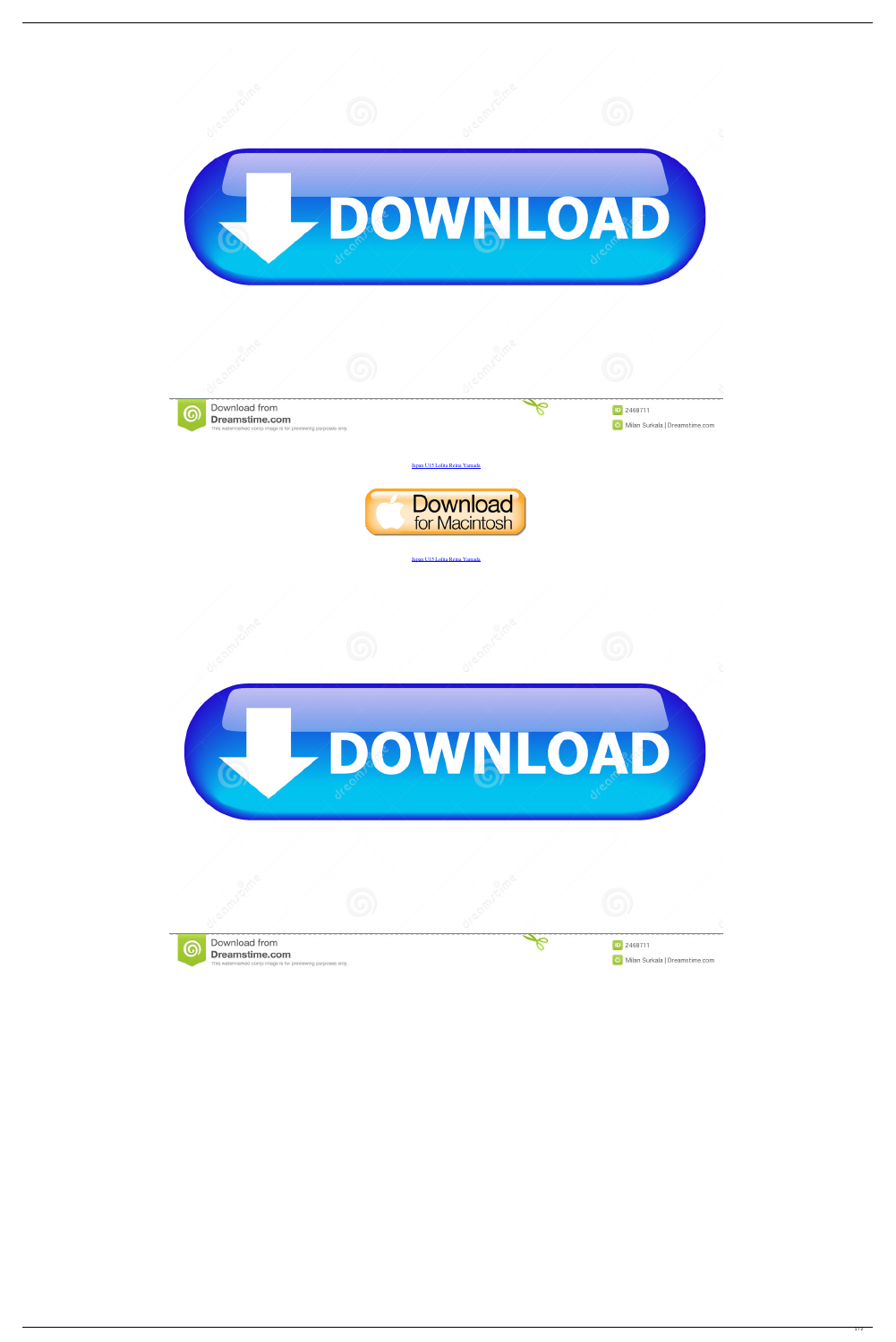



## [Japan U15 Lolita Reina Yamada](https://tinurli.com/257y7e)





O Milan Surkala | Dreamstime.com